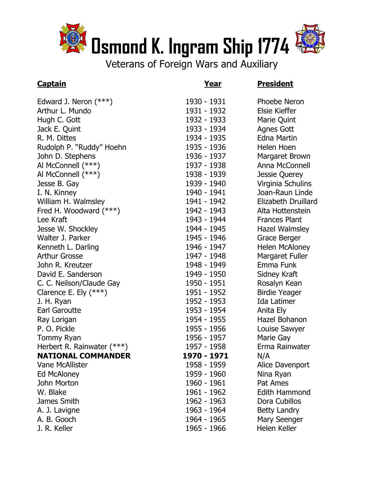

Veterans of Foreign Wars and Auxiliary

## **Captain Year President**

| Edward J. Neron $(***)$    | 1930 - 1931 | <b>Phoebe Nerg</b>  |
|----------------------------|-------------|---------------------|
| Arthur L. Mundo            | 1931 - 1932 | Elsie Kieffer       |
| Hugh C. Gott               | 1932 - 1933 | Marie Quint         |
| Jack E. Quint              | 1933 - 1934 | Agnes Gott          |
| R. M. Dittes               | 1934 - 1935 | <b>Edna Martin</b>  |
| Rudolph P. "Ruddy" Hoehn   | 1935 - 1936 | Helen Hoen          |
| John D. Stephens           | 1936 - 1937 | Margaret Br         |
| Al McConnell (***)         | 1937 - 1938 | Anna McCor          |
| Al McConnell (***)         | 1938 - 1939 | Jessie Quere        |
| Jesse B. Gay               | 1939 - 1940 | Virginia Sch        |
| I. N. Kinney               | 1940 - 1941 | Joan-Raun L         |
| William H. Walmsley        | 1941 - 1942 | Elizabeth Dr        |
| Fred H. Woodward (***)     | 1942 - 1943 | Alta Hottens        |
| Lee Kraft                  | 1943 - 1944 | <b>Frances Plar</b> |
| Jesse W. Shockley          | 1944 - 1945 | Hazel Walms         |
| Walter J. Parker           | 1945 - 1946 | Grace Berge         |
| Kenneth L. Darling         | 1946 - 1947 | Helen McAlo         |
| <b>Arthur Grosse</b>       | 1947 - 1948 | Margaret Fu         |
| John R. Kreutzer           | 1948 - 1949 | Emma Funk           |
| David E. Sanderson         | 1949 - 1950 | Sidney Kraft        |
| C. C. Neilson/Claude Gay   | 1950 - 1951 | Rosalyn Kea         |
| Clarence E. Ely $(***)$    | 1951 - 1952 | <b>Birdie Yeage</b> |
| J. H. Ryan                 | 1952 - 1953 | Ida Latimer         |
| Earl Garoutte              | 1953 - 1954 | Anita Ely           |
| Ray Lorigan                | 1954 - 1955 | Hazel Bohan         |
| P. O. Pickle               | 1955 - 1956 | Louise Sawy         |
| Tommy Ryan                 | 1956 - 1957 | Marie Gay           |
| Herbert R. Rainwater (***) | 1957 - 1958 | Erma Rainw          |
| <b>NATIONAL COMMANDER</b>  | 1970 - 1971 | N/A                 |
| <b>Vane McAllister</b>     | 1958 - 1959 | Alice Daven         |
| Ed McAloney                | 1959 - 1960 | Nina Ryan           |
| John Morton                | 1960 - 1961 | Pat Ames            |
| W. Blake                   | 1961 - 1962 | <b>Edith Hamm</b>   |
| James Smith                | 1962 - 1963 | Dora Cubillo        |
| A. J. Lavigne              | 1963 - 1964 | Betty Landry        |
| A. B. Gooch                | 1964 - 1965 | Mary Seeng          |
| J. R. Keller               | 1965 - 1966 | <b>Helen Keller</b> |

1930 - 1931 Phoebe Neron 1931 - 1932 Elsie Kieffer 1932 - 1933 Marie Quint 1933 - 1934 **Agnes Gott** 1934 - 1935 **Edna Martin** 1935 - 1936 Helen Hoen 1936 - 1937 Margaret Brown 1937 - 1938 Anna McConnell 1938 - 1939 Jessie Querey 1939 - 1940 Virginia Schulins 1940 - 1941 Joan-Raun Linde 1941 - 1942 Elizabeth Druillard 1942 - 1943 Alta Hottenstein 1943 - 1944 Frances Plant 1944 - 1945 Hazel Walmsley 1945 - 1946 **Grace Berger** 1946 - 1947 Helen McAloney 1947 - 1948 Margaret Fuller 1948 - 1949 **Emma Funk** 1949 - 1950 Sidney Kraft 1950 - 1951 **Rosalyn Kean** 1951 - 1952 Birdie Yeager 1952 - 1953 Ida Latimer 1953 - 1954 Anita Ely 1954 - 1955 Hazel Bohanon 1955 - 1956 Louise Sawyer 1956 - 1957 Marie Gay Erma Rainwater N/A 1958 - 1959 Alice Davenport 1959 - 1960 Nina Ryan 1960 - 1961 Pat Ames 1961 - 1962 **Edith Hammond** 1962 - 1963 Dora Cubillos 1963 - 1964 Betty Landry 1964 - 1965 Mary Seenger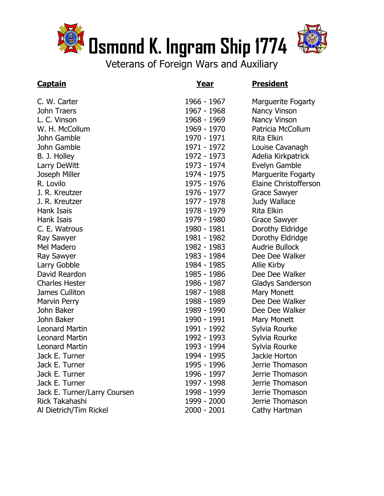



Veterans of Foreign Wars and Auxiliary

# **Captain Year President**

| C. W. Carter                 | 1966 - 1967 | Marguerite Fogarty           |
|------------------------------|-------------|------------------------------|
| John Traers                  | 1967 - 1968 | Nancy Vinson                 |
| L. C. Vinson                 | 1968 - 1969 | Nancy Vinson                 |
| W. H. McCollum               | 1969 - 1970 | Patricia McCollum            |
| John Gamble                  | 1970 - 1971 | Rita Elkin                   |
| John Gamble                  | 1971 - 1972 | Louise Cavanagh              |
| B. J. Holley                 | 1972 - 1973 | Adelia Kirkpatrick           |
| Larry DeWitt                 | 1973 - 1974 | Evelyn Gamble                |
| Joseph Miller                | 1974 - 1975 | <b>Marguerite Fogarty</b>    |
| R. Lovilo                    | 1975 - 1976 | <b>Elaine Christofferson</b> |
| J. R. Kreutzer               | 1976 - 1977 | <b>Grace Sawyer</b>          |
| J. R. Kreutzer               | 1977 - 1978 | Judy Wallace                 |
| Hank Isais                   | 1978 - 1979 | <b>Rita Elkin</b>            |
| Hank Isais                   | 1979 - 1980 | <b>Grace Sawyer</b>          |
| C. E. Watrous                | 1980 - 1981 | Dorothy Eldridge             |
| <b>Ray Sawyer</b>            | 1981 - 1982 | Dorothy Eldridge             |
| Mel Madero                   | 1982 - 1983 | <b>Audrie Bullock</b>        |
| Ray Sawyer                   | 1983 - 1984 | Dee Dee Walker               |
| Larry Gobble                 | 1984 - 1985 | Allie Kirby                  |
| David Reardon                | 1985 - 1986 | Dee Dee Walker               |
| <b>Charles Hester</b>        | 1986 - 1987 | <b>Gladys Sanderson</b>      |
| James Culliton               | 1987 - 1988 | Mary Monett                  |
| <b>Marvin Perry</b>          | 1988 - 1989 | Dee Dee Walker               |
| John Baker                   | 1989 - 1990 | Dee Dee Walker               |
| John Baker                   | 1990 - 1991 | Mary Monett                  |
| <b>Leonard Martin</b>        | 1991 - 1992 | Sylvia Rourke                |
| <b>Leonard Martin</b>        | 1992 - 1993 | Sylvia Rourke                |
| <b>Leonard Martin</b>        | 1993 - 1994 | Sylvia Rourke                |
| Jack E. Turner               | 1994 - 1995 | Jackie Horton                |
| Jack E. Turner               | 1995 - 1996 | Jerrie Thomason              |
| Jack E. Turner               | 1996 - 1997 | Jerrie Thomason              |
| Jack E. Turner               | 1997 - 1998 | Jerrie Thomason              |
| Jack E. Turner/Larry Coursen | 1998 - 1999 | Jerrie Thomason              |
| Rick Takahashi               | 1999 - 2000 | Jerrie Thomason              |
| Al Dietrich/Tim Rickel       | 2000 - 2001 | Cathy Hartman                |